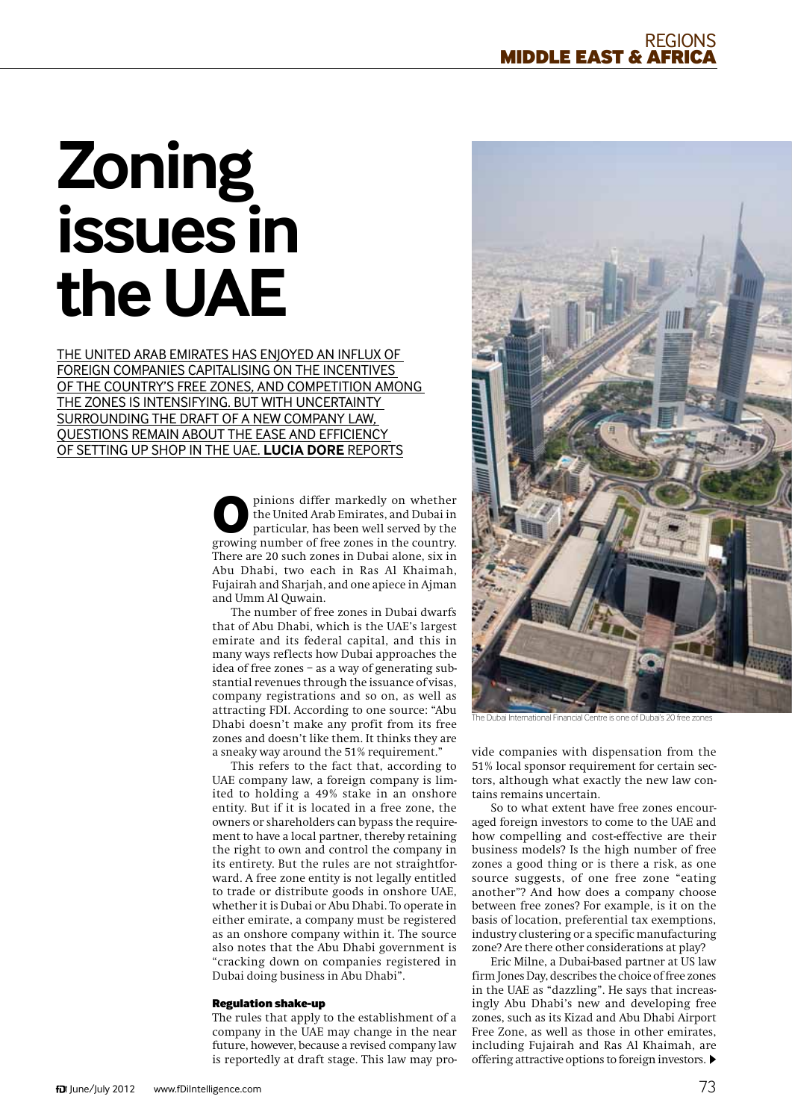# **Zoning issues in the UAE**

The United Arab Emirates has enjoyed an influx of foreign companies capitalising on the incentives of the country's free zones, and competition among the zones is intensifying. But with uncertainty surrounding the draft of a new company law, questions remain about the ease and efficiency of setting up shop in the UAE. **Lucia Dore** reports

> pinions differ markedly on whether the United Arab Emirates, and Dubai in particular, has been well served by the growing number of free zones in the country. There are 20 such zones in Dubai alone, six in Abu Dhabi, two each in Ras Al Khaimah, Fujairah and Sharjah, and one apiece in Ajman and Umm Al Quwain.

> The number of free zones in Dubai dwarfs that of Abu Dhabi, which is the UAE's largest emirate and its federal capital, and this in many ways reflects how Dubai approaches the idea of free zones – as a way of generating substantial revenues through the issuance of visas, company registrations and so on, as well as attracting FDI. According to one source: "Abu Dhabi doesn't make any profit from its free zones and doesn't like them. It thinks they are a sneaky way around the 51% requirement."

> This refers to the fact that, according to UAE company law, a foreign company is limited to holding a 49% stake in an onshore entity. But if it is located in a free zone, the owners or shareholders can bypass the requirement to have a local partner, thereby retaining the right to own and control the company in its entirety. But the rules are not straightforward. A free zone entity is not legally entitled to trade or distribute goods in onshore UAE, whether it is Dubai or Abu Dhabi. To operate in either emirate, a company must be registered as an onshore company within it. The source also notes that the Abu Dhabi government is "cracking down on companies registered in Dubai doing business in Abu Dhabi".

### Regulation shake-up

The rules that apply to the establishment of a company in the UAE may change in the near future, however, because a revised company law is reportedly at draft stage. This law may pro-



The Dubai International Financial Centre is one of Dubai's 20 free zones

vide companies with dispensation from the 51% local sponsor requirement for certain sectors, although what exactly the new law contains remains uncertain.

So to what extent have free zones encouraged foreign investors to come to the UAE and how compelling and cost-effective are their business models? Is the high number of free zones a good thing or is there a risk, as one source suggests, of one free zone "eating another"? And how does a company choose between free zones? For example, is it on the basis of location, preferential tax exemptions, industry clustering or a specific manufacturing zone? Are there other considerations at play?

Eric Milne, a Dubai-based partner at US law firm Jones Day, describes the choice of free zones in the UAE as "dazzling". He says that increasingly Abu Dhabi's new and developing free zones, such as its Kizad and Abu Dhabi Airport Free Zone, as well as those in other emirates, including Fujairah and Ras Al Khaimah, are offering attractive options to foreign investors.